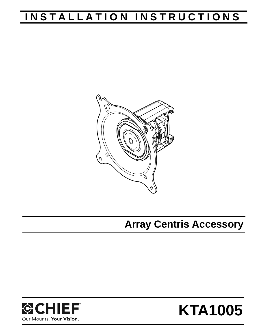# **INSTALLATION INSTRUCTIONS**



**Array Centris Accessory**



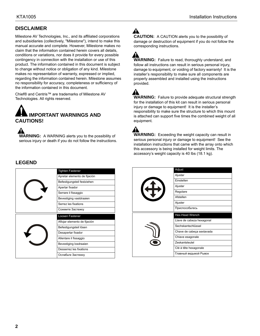# **DISCLAIMER**

Milestone AV Technologies, Inc., and its affiliated corporations and subsidiaries (collectively, "Milestone"), intend to make this manual accurate and complete. However, Milestone makes no claim that the information contained herein covers all details, conditions or variations, nor does it provide for every possible contingency in connection with the installation or use of this product. The information contained in this document is subject to change without notice or obligation of any kind. Milestone makes no representation of warranty, expressed or implied, regarding the information contained herein. Milestone assumes no responsibility for accuracy, completeness or sufficiency of the information contained in this document.

Chief® and Centris™ are trademarks of Milestone AV Technologies. All rights reserved.



**WARNING:** A WARNING alerts you to the possibility of serious injury or death if you do not follow the instructions.  $\blacktriangle$ 

**CAUTION:** A CAUTION alerts you to the possibility of damage or destruction of equipment if you do not follow the corresponding instructions.

**WARNING:** Failure to read, thoroughly understand, and follow all instructions can result in serious personal injury, damage to equipment, or voiding of factory warranty! It is the installer's responsibility to make sure all components are properly assembled and installed using the instructions provided.

**WARNING:** Failure to provide adequate structural strength for the installation of this kit can result in serious personal injury or damage to equipment! It is the installer's responsibility to make sure the structure to which this mount is attached can support five times the combined weight of all equipment.

Δ **WARNING:** Exceeding the weight capacity can result in serious personal injury or damage to equipment! See the installation instructions that came with the array onto which this accessory is being installed for weight limits. The accessory's weight capacity is 40 lbs (18.1 kg).

### **LEGEND**

|  | <b>Tighten Fastener</b>      |
|--|------------------------------|
|  | Apretar elemento de fijación |
|  | Befestigungsteil festziehen  |
|  | Apertar fixador              |
|  | Serrare il fissaggio         |
|  | Bevestiging vastdraaien      |
|  | Serrez les fixations         |
|  | Сожмите Застежку             |
|  |                              |
|  | Loosen Fastener              |
|  | Aflojar elemento de fijación |
|  | Befestigungsteil lösen       |
|  | Desapertar fixador           |
|  | Allentare il fissaggio       |
|  | Bevestiging losdraaien       |
|  | Desserrez les fixations      |

| \$ | Adjust                    |
|----|---------------------------|
|    | Ajustar                   |
|    | Einstellen                |
|    | Ajustar                   |
|    | Regolare                  |
|    | Afstellen                 |
|    | Ajuster                   |
|    | Приспособытесь            |
|    |                           |
|    | <b>Hex-Head Wrench</b>    |
|    | Llave de cabeza hexagonal |
|    | Sechskantschlüssel        |
|    | Chave de cabeça sextavada |
|    | Chiave esagonale          |
|    | Zeskantsleutel            |
|    | Clé à tête hexagonale     |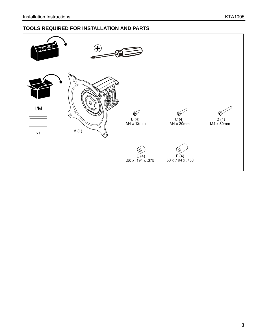# **TOOLS REQUIRED FOR INSTALLATION AND PARTS**

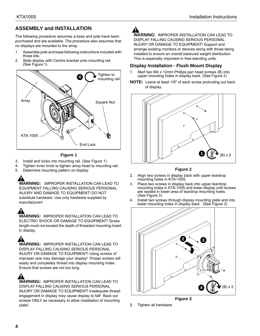# **ASSEMBLY and INSTALLATION**

The following procedure assumes a base and pole have been purchased and are available. The procedure also assumes that no displays are mounted to the array.

- 1. Assemble pole and base following instructions included with those kits.
- 2. Slide display with Centris bracket onto mounting rail. (See Figure 1)



**Figure 1**

- 3. Install end locks into mounting rail. (See Figure 1)
- 4. Tighten inner knob to tighten array head to mounting rail.
- 5. Determine mounting pattern on display.

**WARNING:** IMPROPER INSTALLATION CAN LEAD TO EQUIPMENT FALLING CAUSING SERIOUS PERSONAL INJURY AND DAMAGE TO EQUIPMENT! DO NOT substitute hardware. Use only hardware supplied by manufacturer!

**WARNING:** IMPROPER INSTALLATION CAN LEAD TO ELECTRIC SHOCK OR DAMAGE TO EQUIPMENT! Screw length must not exceed the depth of threaded mounting insert in display.

**WARNING:** IMPROPER INSTALLATION CAN LEAD TO DISPLAY FALLING CAUSING SERIOUS PERSONAL INJURY OR DAMAGE TO EQUIPMENT! Using screws of improper size may damage your display! Proper screws will easily and completely thread into display mounting holes. Ensure that screws are not too long.

**WARNING:** IMPROPER INSTALLATION CAN LEAD TO DISPLAY FALLING CAUSING SERIOUS PERSONAL INJURY OR DAMAGE TO EQUIPMENT! Inadequate thread engagement in display may cause display to fall! Back out screws ONLY as necessary to allow installation of mounting plate!

**WARNING:** IMPROPER INSTALLATION CAN LEAD TO DISPLAY FALLING CAUSING SERIOUS PERSONAL INJURY OR DAMAGE TO EQUIPMENT! Support and arrange existing monitors or devices along with those being installed to ensure an overall balanced weight distribution. This is especially important in free-standing units.

#### **Display Installation - Flush Mount Display**

- 1. Start two M4 x 12mm Phillips pan head screws (B) into upper mounting holes in display back. (See Figure 2)
- **NOTE:** Leave at least 1/8" of each screw protruding out back of display.





- 2. Align two screws in display back with upper teardrop mounting holes in KTA-1005.
- 3. Place two screws in display back into upper teardrop mounting holes in KTA-1005 and lower display until screws are seated in lower area of teardrop mounting holes. (See Figure 3)
- 4. Install two screws through display mounting plate and into lower mounting holes in display back. (See Figure 3)



**Figure 3**

5. Tighten all hardware.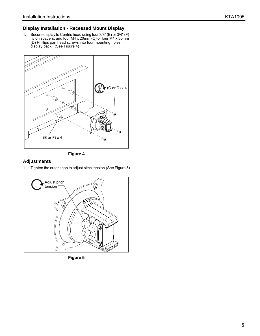#### **Display Installation - Recessed Mount Display**

1. Secure display to Centris head using four 3/8" (E) or 3/4" (F) nylon spacers, and four M4 x 20mm (C) or four M4 x 30mm (D) Phillips pan head screws into four mounting holes in display back. (See Figure 4)





#### **Adjustments**

1. Tighten the outer knob to adjust pitch tension.(See Figure 5)



**Figure 5**